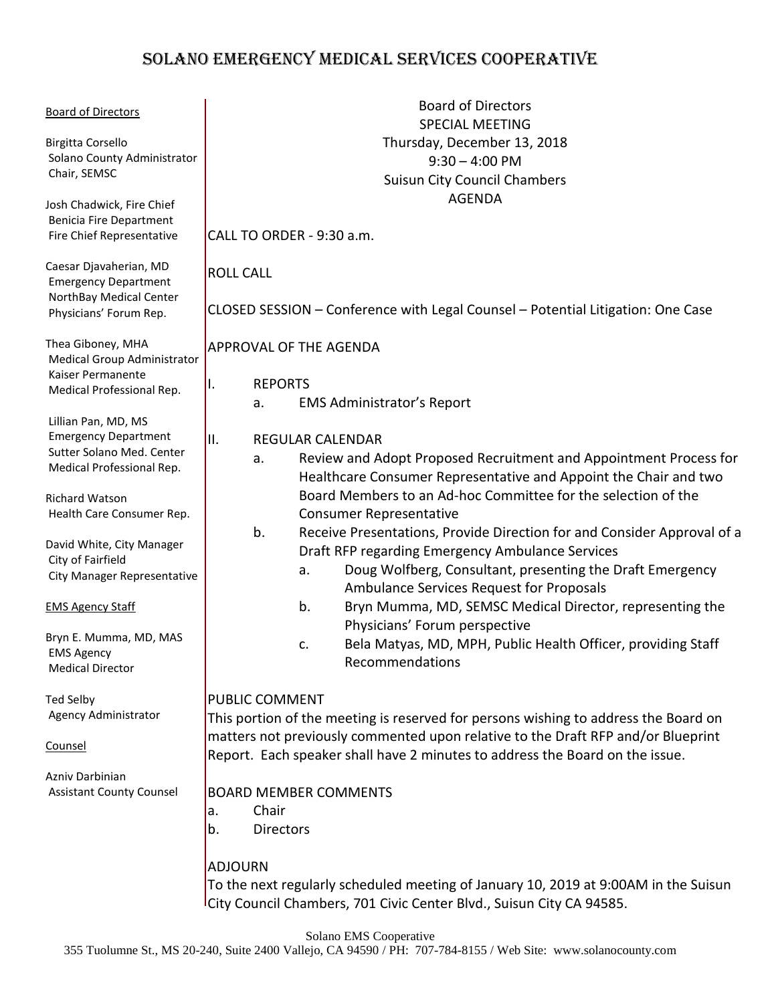# SOLANO EMERGENCY MEDICAL SERVICES COOPERATIVE

| <b>Board of Directors</b>                                                                                                                                                                                                                                                                                                                                                                                                           | <b>Board of Directors</b><br><b>SPECIAL MEETING</b>                                                                                                                                                                                                                                                                                                                                                                                                                                                                                                                                                                                                                                                                                                                                                                                  |  |  |
|-------------------------------------------------------------------------------------------------------------------------------------------------------------------------------------------------------------------------------------------------------------------------------------------------------------------------------------------------------------------------------------------------------------------------------------|--------------------------------------------------------------------------------------------------------------------------------------------------------------------------------------------------------------------------------------------------------------------------------------------------------------------------------------------------------------------------------------------------------------------------------------------------------------------------------------------------------------------------------------------------------------------------------------------------------------------------------------------------------------------------------------------------------------------------------------------------------------------------------------------------------------------------------------|--|--|
| <b>Birgitta Corsello</b><br>Solano County Administrator<br>Chair, SEMSC                                                                                                                                                                                                                                                                                                                                                             | Thursday, December 13, 2018<br>$9:30 - 4:00$ PM<br><b>Suisun City Council Chambers</b>                                                                                                                                                                                                                                                                                                                                                                                                                                                                                                                                                                                                                                                                                                                                               |  |  |
| Josh Chadwick, Fire Chief<br><b>Benicia Fire Department</b><br>Fire Chief Representative                                                                                                                                                                                                                                                                                                                                            | <b>AGENDA</b><br>CALL TO ORDER - 9:30 a.m.                                                                                                                                                                                                                                                                                                                                                                                                                                                                                                                                                                                                                                                                                                                                                                                           |  |  |
| Caesar Djavaherian, MD<br><b>Emergency Department</b><br>NorthBay Medical Center<br>Physicians' Forum Rep.                                                                                                                                                                                                                                                                                                                          | <b>ROLL CALL</b><br>CLOSED SESSION - Conference with Legal Counsel - Potential Litigation: One Case                                                                                                                                                                                                                                                                                                                                                                                                                                                                                                                                                                                                                                                                                                                                  |  |  |
| Thea Giboney, MHA<br>Medical Group Administrator<br>Kaiser Permanente<br>Medical Professional Rep.<br>Lillian Pan, MD, MS<br><b>Emergency Department</b><br>Sutter Solano Med. Center<br>Medical Professional Rep.<br><b>Richard Watson</b><br>Health Care Consumer Rep.<br>David White, City Manager<br>City of Fairfield<br>City Manager Representative<br><b>EMS Agency Staff</b><br>Bryn E. Mumma, MD, MAS<br><b>EMS Agency</b> | <b>APPROVAL OF THE AGENDA</b><br><b>REPORTS</b><br>Ι.<br><b>EMS Administrator's Report</b><br>a.<br><b>REGULAR CALENDAR</b><br>II.<br>Review and Adopt Proposed Recruitment and Appointment Process for<br>a.<br>Healthcare Consumer Representative and Appoint the Chair and two<br>Board Members to an Ad-hoc Committee for the selection of the<br><b>Consumer Representative</b><br>b.<br>Receive Presentations, Provide Direction for and Consider Approval of a<br>Draft RFP regarding Emergency Ambulance Services<br>Doug Wolfberg, Consultant, presenting the Draft Emergency<br>a.<br>Ambulance Services Request for Proposals<br>Bryn Mumma, MD, SEMSC Medical Director, representing the<br>b.<br>Physicians' Forum perspective<br>Bela Matyas, MD, MPH, Public Health Officer, providing Staff<br>c.<br>Recommendations |  |  |
| <b>Medical Director</b><br><b>Ted Selby</b><br>Agency Administrator<br>Counsel<br>Azniv Darbinian<br><b>Assistant County Counsel</b>                                                                                                                                                                                                                                                                                                | <b>PUBLIC COMMENT</b><br>This portion of the meeting is reserved for persons wishing to address the Board on<br>matters not previously commented upon relative to the Draft RFP and/or Blueprint<br>Report. Each speaker shall have 2 minutes to address the Board on the issue.<br><b>BOARD MEMBER COMMENTS</b><br>Chair<br>a.<br><b>Directors</b><br>b.<br><b>ADJOURN</b>                                                                                                                                                                                                                                                                                                                                                                                                                                                          |  |  |
|                                                                                                                                                                                                                                                                                                                                                                                                                                     | To the next regularly scheduled meeting of January 10, 2019 at 9:00AM in the Suisun<br>City Council Chambers, 701 Civic Center Blvd., Suisun City CA 94585.                                                                                                                                                                                                                                                                                                                                                                                                                                                                                                                                                                                                                                                                          |  |  |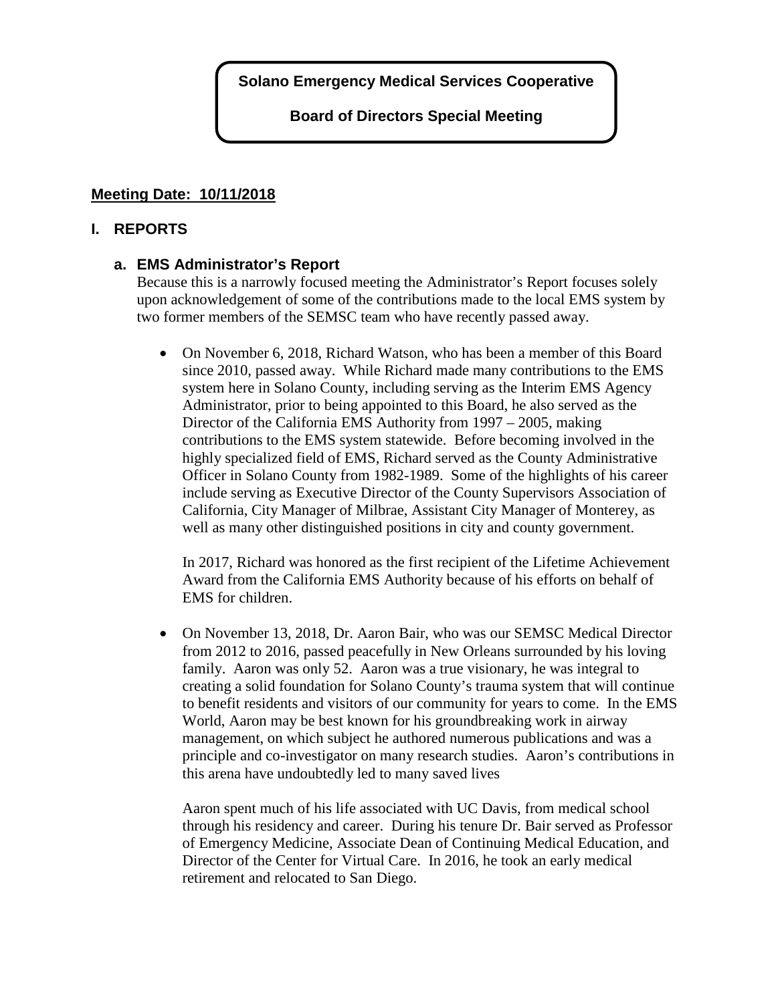**Board of Directors Special Meeting**

# **Meeting Date: 10/11/2018**

## **I. REPORTS**

# **a. EMS Administrator's Report**

Because this is a narrowly focused meeting the Administrator's Report focuses solely upon acknowledgement of some of the contributions made to the local EMS system by two former members of the SEMSC team who have recently passed away.

• On November 6, 2018, Richard Watson, who has been a member of this Board since 2010, passed away. While Richard made many contributions to the EMS system here in Solano County, including serving as the Interim EMS Agency Administrator, prior to being appointed to this Board, he also served as the Director of the California EMS Authority from 1997 – 2005, making contributions to the EMS system statewide. Before becoming involved in the highly specialized field of EMS, Richard served as the County Administrative Officer in Solano County from 1982-1989. Some of the highlights of his career include serving as Executive Director of the County Supervisors Association of California, City Manager of Milbrae, Assistant City Manager of Monterey, as well as many other distinguished positions in city and county government.

In 2017, Richard was honored as the first recipient of the Lifetime Achievement Award from the California EMS Authority because of his efforts on behalf of EMS for children.

• On November 13, 2018, Dr. Aaron Bair, who was our SEMSC Medical Director from 2012 to 2016, passed peacefully in New Orleans surrounded by his loving family. Aaron was only 52. Aaron was a true visionary, he was integral to creating a solid foundation for Solano County's trauma system that will continue to benefit residents and visitors of our community for years to come. In the EMS World, Aaron may be best known for his groundbreaking work in airway management, on which subject he authored numerous publications and was a principle and co-investigator on many research studies. Aaron's contributions in this arena have undoubtedly led to many saved lives

Aaron spent much of his life associated with UC Davis, from medical school through his residency and career. During his tenure Dr. Bair served as Professor of Emergency Medicine, Associate Dean of Continuing Medical Education, and Director of the Center for Virtual Care. In 2016, he took an early medical retirement and relocated to San Diego.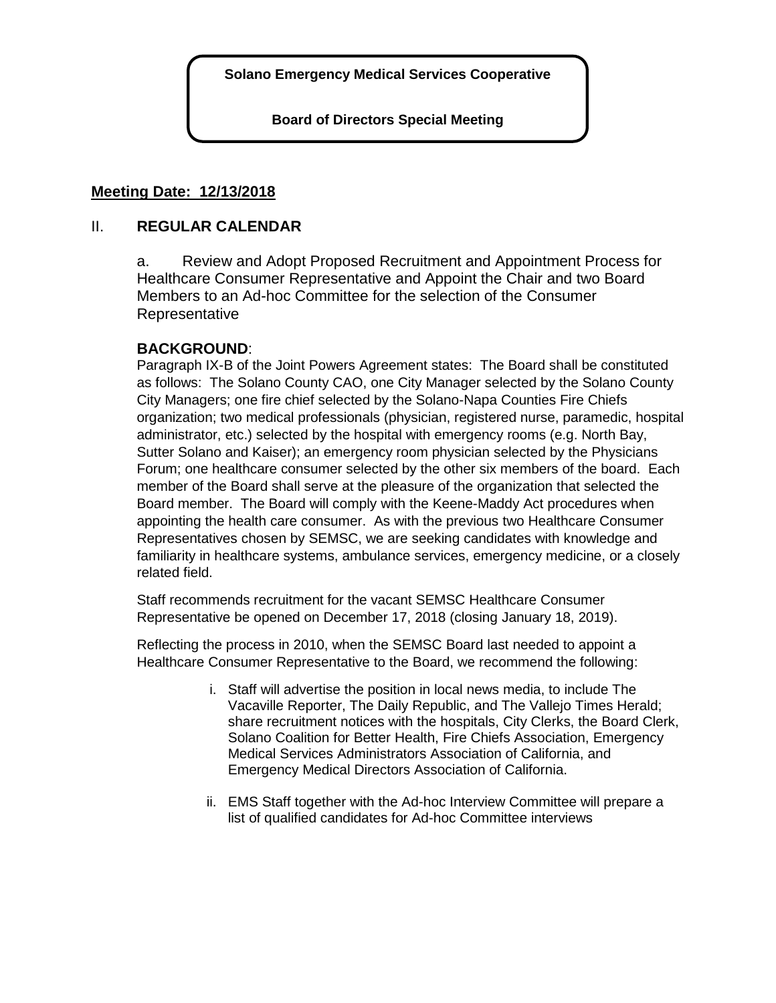**Board of Directors Special Meeting**

## **Meeting Date: 12/13/2018**

## II. **REGULAR CALENDAR**

a. Review and Adopt Proposed Recruitment and Appointment Process for Healthcare Consumer Representative and Appoint the Chair and two Board Members to an Ad-hoc Committee for the selection of the Consumer Representative

# **BACKGROUND**:

Paragraph IX-B of the Joint Powers Agreement states: The Board shall be constituted as follows: The Solano County CAO, one City Manager selected by the Solano County City Managers; one fire chief selected by the Solano-Napa Counties Fire Chiefs organization; two medical professionals (physician, registered nurse, paramedic, hospital administrator, etc.) selected by the hospital with emergency rooms (e.g. North Bay, Sutter Solano and Kaiser); an emergency room physician selected by the Physicians Forum; one healthcare consumer selected by the other six members of the board. Each member of the Board shall serve at the pleasure of the organization that selected the Board member. The Board will comply with the Keene-Maddy Act procedures when appointing the health care consumer. As with the previous two Healthcare Consumer Representatives chosen by SEMSC, we are seeking candidates with knowledge and familiarity in healthcare systems, ambulance services, emergency medicine, or a closely related field.

Staff recommends recruitment for the vacant SEMSC Healthcare Consumer Representative be opened on December 17, 2018 (closing January 18, 2019).

Reflecting the process in 2010, when the SEMSC Board last needed to appoint a Healthcare Consumer Representative to the Board, we recommend the following:

- i. Staff will advertise the position in local news media, to include The Vacaville Reporter, The Daily Republic, and The Vallejo Times Herald; share recruitment notices with the hospitals, City Clerks, the Board Clerk, Solano Coalition for Better Health, Fire Chiefs Association, Emergency Medical Services Administrators Association of California, and Emergency Medical Directors Association of California.
- ii. EMS Staff together with the Ad-hoc Interview Committee will prepare a list of qualified candidates for Ad-hoc Committee interviews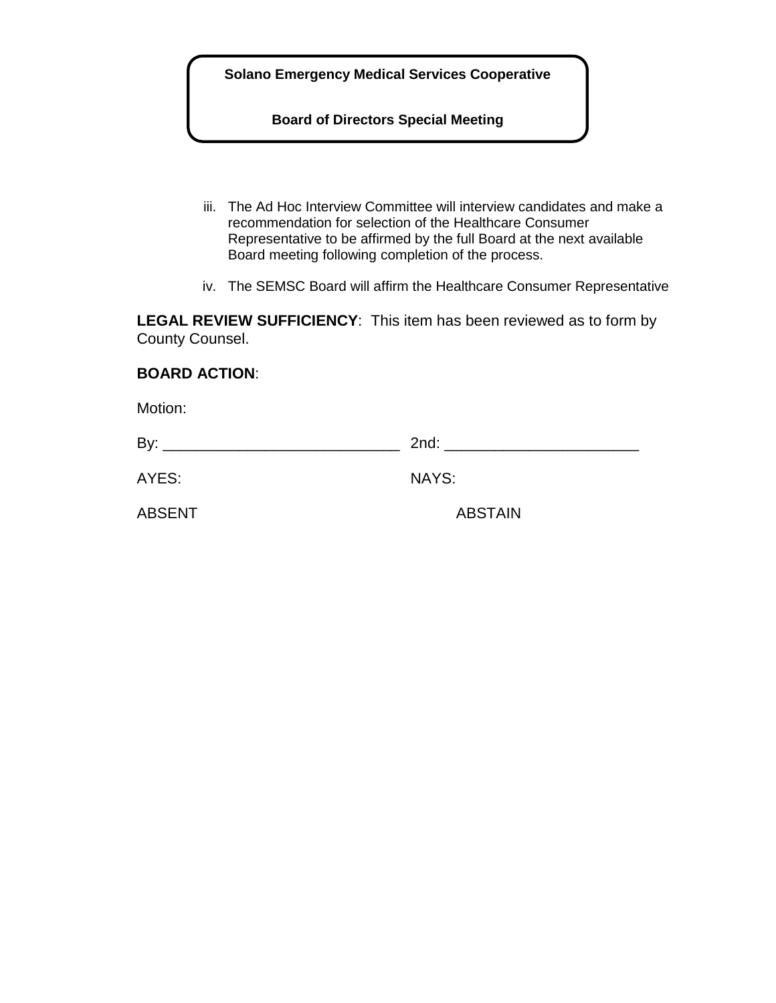**Board of Directors Special Meeting**

- iii. The Ad Hoc Interview Committee will interview candidates and make a recommendation for selection of the Healthcare Consumer Representative to be affirmed by the full Board at the next available Board meeting following completion of the process.
- iv. The SEMSC Board will affirm the Healthcare Consumer Representative

**LEGAL REVIEW SUFFICIENCY**: This item has been reviewed as to form by County Counsel.

#### **BOARD ACTION**:

Motion:

| ________ |
|----------|
|          |

AYES: NAYS:

ABSENT ABSTAIN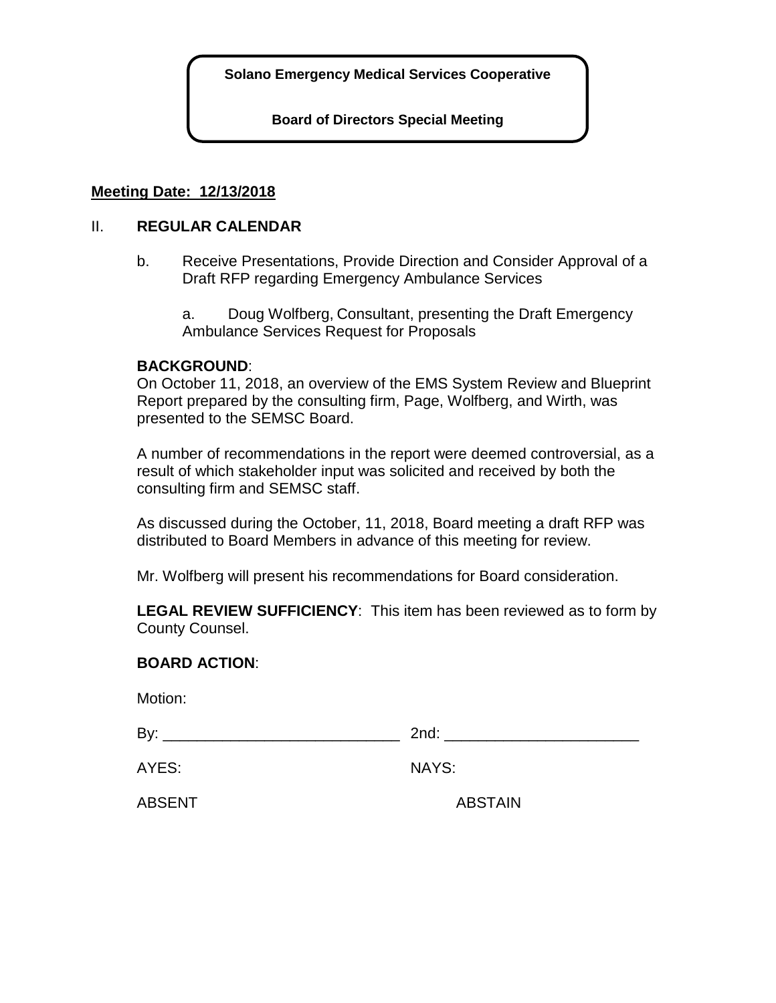**Board of Directors Special Meeting**

#### **Meeting Date: 12/13/2018**

#### II. **REGULAR CALENDAR**

b. Receive Presentations, Provide Direction and Consider Approval of a Draft RFP regarding Emergency Ambulance Services

a. Doug Wolfberg, Consultant, presenting the Draft Emergency Ambulance Services Request for Proposals

#### **BACKGROUND**:

On October 11, 2018, an overview of the EMS System Review and Blueprint Report prepared by the consulting firm, Page, Wolfberg, and Wirth, was presented to the SEMSC Board.

A number of recommendations in the report were deemed controversial, as a result of which stakeholder input was solicited and received by both the consulting firm and SEMSC staff.

As discussed during the October, 11, 2018, Board meeting a draft RFP was distributed to Board Members in advance of this meeting for review.

Mr. Wolfberg will present his recommendations for Board consideration.

**LEGAL REVIEW SUFFICIENCY**: This item has been reviewed as to form by County Counsel.

#### **BOARD ACTION**:

Motion:

 $\mathsf{Bv}: \qquad \qquad \qquad \qquad \text{2nd}:$ 

AYES: NAYS:

ABSENT ABSTAIN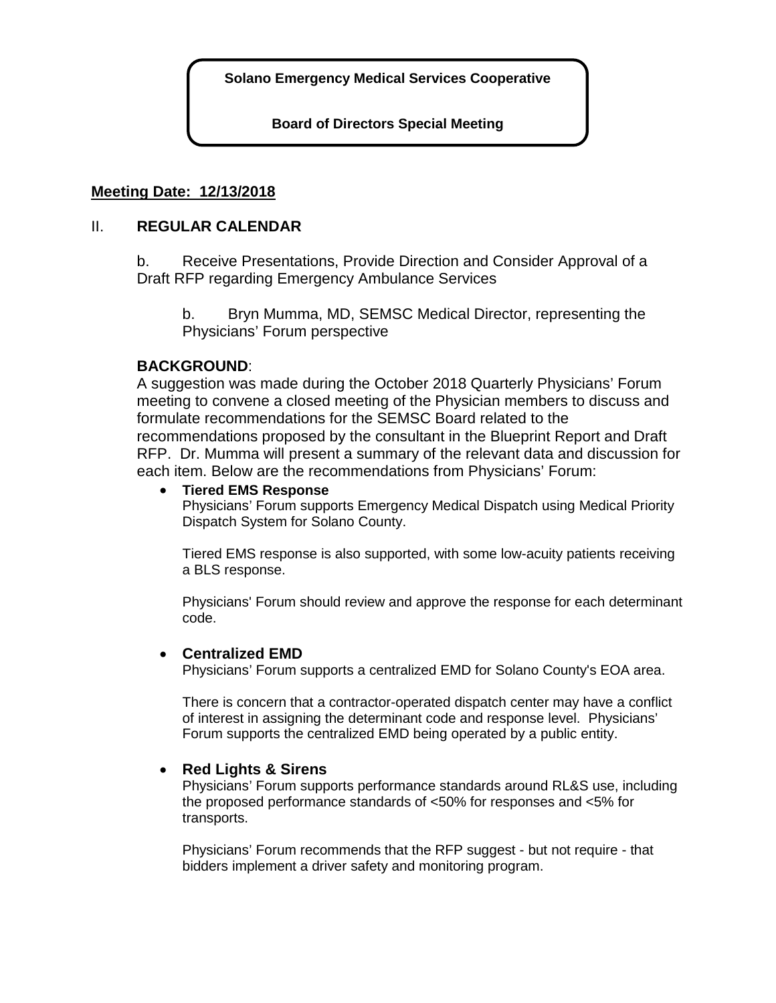**Board of Directors Special Meeting**

## **Meeting Date: 12/13/2018**

#### II. **REGULAR CALENDAR**

b. Receive Presentations, Provide Direction and Consider Approval of a Draft RFP regarding Emergency Ambulance Services

b. Bryn Mumma, MD, SEMSC Medical Director, representing the Physicians' Forum perspective

#### **BACKGROUND**:

A suggestion was made during the October 2018 Quarterly Physicians' Forum meeting to convene a closed meeting of the Physician members to discuss and formulate recommendations for the SEMSC Board related to the recommendations proposed by the consultant in the Blueprint Report and Draft RFP. Dr. Mumma will present a summary of the relevant data and discussion for each item. Below are the recommendations from Physicians' Forum:

#### • **Tiered EMS Response**

Physicians' Forum supports Emergency Medical Dispatch using Medical Priority Dispatch System for Solano County.

Tiered EMS response is also supported, with some low-acuity patients receiving a BLS response.

Physicians' Forum should review and approve the response for each determinant code.

#### • **Centralized EMD**

Physicians' Forum supports a centralized EMD for Solano County's EOA area.

There is concern that a contractor-operated dispatch center may have a conflict of interest in assigning the determinant code and response level. Physicians' Forum supports the centralized EMD being operated by a public entity.

## • **Red Lights & Sirens**

Physicians' Forum supports performance standards around RL&S use, including the proposed performance standards of <50% for responses and <5% for transports.

Physicians' Forum recommends that the RFP suggest - but not require - that bidders implement a driver safety and monitoring program.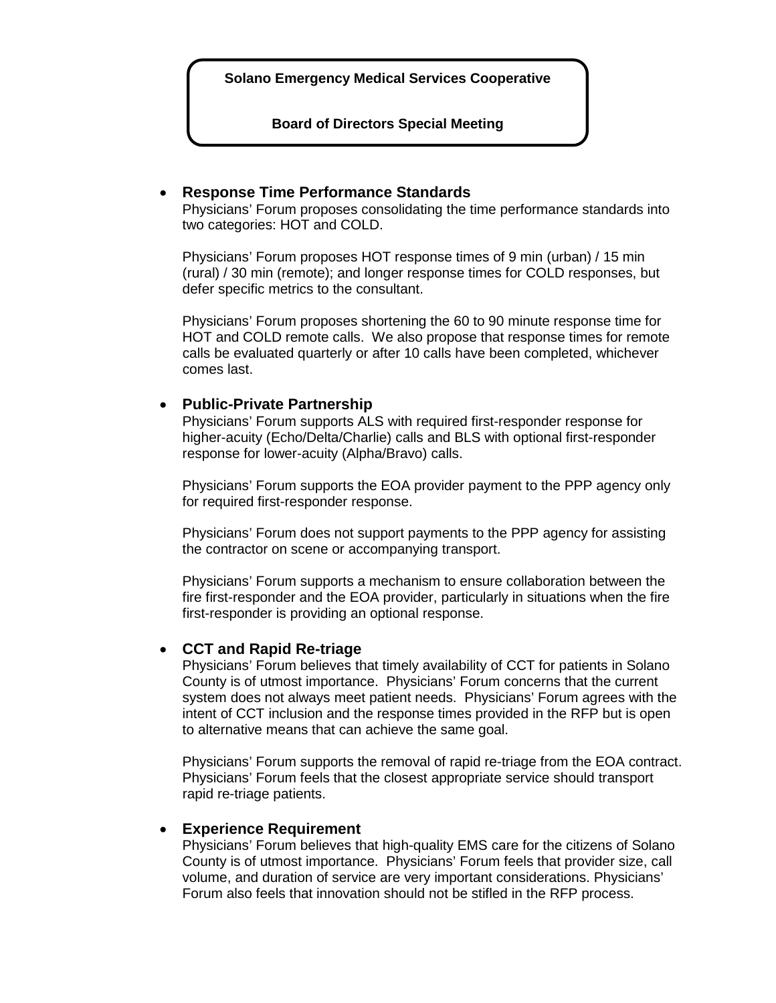**Board of Directors Special Meeting**

#### • **Response Time Performance Standards**

Physicians' Forum proposes consolidating the time performance standards into two categories: HOT and COLD.

Physicians' Forum proposes HOT response times of 9 min (urban) / 15 min (rural) / 30 min (remote); and longer response times for COLD responses, but defer specific metrics to the consultant.

Physicians' Forum proposes shortening the 60 to 90 minute response time for HOT and COLD remote calls. We also propose that response times for remote calls be evaluated quarterly or after 10 calls have been completed, whichever comes last.

#### • **Public-Private Partnership**

Physicians' Forum supports ALS with required first-responder response for higher-acuity (Echo/Delta/Charlie) calls and BLS with optional first-responder response for lower-acuity (Alpha/Bravo) calls.

Physicians' Forum supports the EOA provider payment to the PPP agency only for required first-responder response.

Physicians' Forum does not support payments to the PPP agency for assisting the contractor on scene or accompanying transport.

Physicians' Forum supports a mechanism to ensure collaboration between the fire first-responder and the EOA provider, particularly in situations when the fire first-responder is providing an optional response.

#### • **CCT and Rapid Re-triage**

Physicians' Forum believes that timely availability of CCT for patients in Solano County is of utmost importance. Physicians' Forum concerns that the current system does not always meet patient needs. Physicians' Forum agrees with the intent of CCT inclusion and the response times provided in the RFP but is open to alternative means that can achieve the same goal.

Physicians' Forum supports the removal of rapid re-triage from the EOA contract. Physicians' Forum feels that the closest appropriate service should transport rapid re-triage patients.

#### • **Experience Requirement**

Physicians' Forum believes that high-quality EMS care for the citizens of Solano County is of utmost importance. Physicians' Forum feels that provider size, call volume, and duration of service are very important considerations. Physicians' Forum also feels that innovation should not be stifled in the RFP process.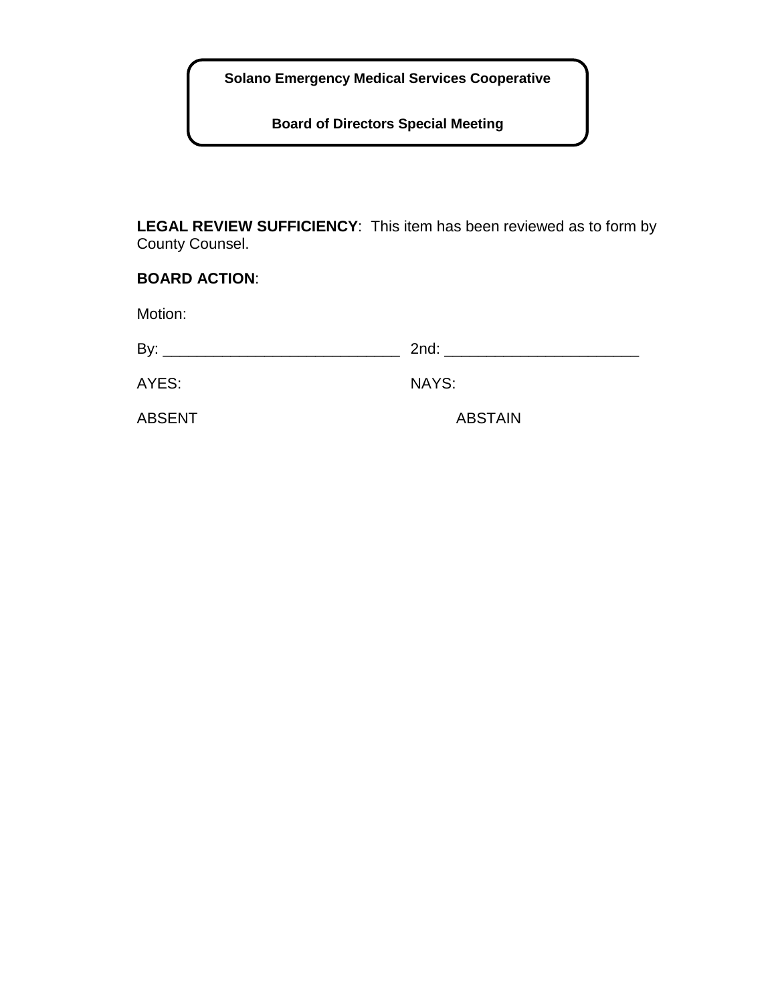**Board of Directors Special Meeting**

**LEGAL REVIEW SUFFICIENCY**: This item has been reviewed as to form by County Counsel.

| <b>BOARD ACTION:</b> |                |  |
|----------------------|----------------|--|
| Motion:              |                |  |
|                      |                |  |
| AYES:                | <b>NAYS:</b>   |  |
| <b>ABSENT</b>        | <b>ABSTAIN</b> |  |
|                      |                |  |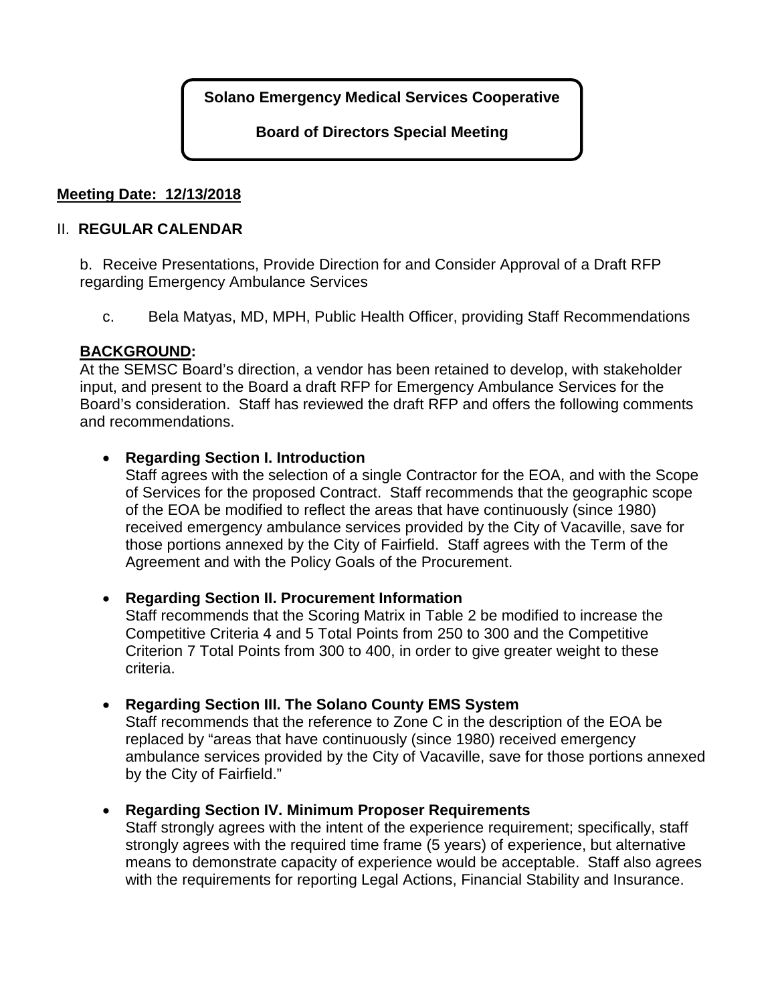**Board of Directors Special Meeting**

# **Meeting Date: 12/13/2018**

## II. **REGULAR CALENDAR**

b. Receive Presentations, Provide Direction for and Consider Approval of a Draft RFP regarding Emergency Ambulance Services

c. Bela Matyas, MD, MPH, Public Health Officer, providing Staff Recommendations

# **BACKGROUND:**

At the SEMSC Board's direction, a vendor has been retained to develop, with stakeholder input, and present to the Board a draft RFP for Emergency Ambulance Services for the Board's consideration. Staff has reviewed the draft RFP and offers the following comments and recommendations.

## • **Regarding Section I. Introduction**

Staff agrees with the selection of a single Contractor for the EOA, and with the Scope of Services for the proposed Contract. Staff recommends that the geographic scope of the EOA be modified to reflect the areas that have continuously (since 1980) received emergency ambulance services provided by the City of Vacaville, save for those portions annexed by the City of Fairfield. Staff agrees with the Term of the Agreement and with the Policy Goals of the Procurement.

## • **Regarding Section II. Procurement Information**

Staff recommends that the Scoring Matrix in Table 2 be modified to increase the Competitive Criteria 4 and 5 Total Points from 250 to 300 and the Competitive Criterion 7 Total Points from 300 to 400, in order to give greater weight to these criteria.

## • **Regarding Section III. The Solano County EMS System**

Staff recommends that the reference to Zone C in the description of the EOA be replaced by "areas that have continuously (since 1980) received emergency ambulance services provided by the City of Vacaville, save for those portions annexed by the City of Fairfield."

## • **Regarding Section IV. Minimum Proposer Requirements**

Staff strongly agrees with the intent of the experience requirement; specifically, staff strongly agrees with the required time frame (5 years) of experience, but alternative means to demonstrate capacity of experience would be acceptable. Staff also agrees with the requirements for reporting Legal Actions, Financial Stability and Insurance.